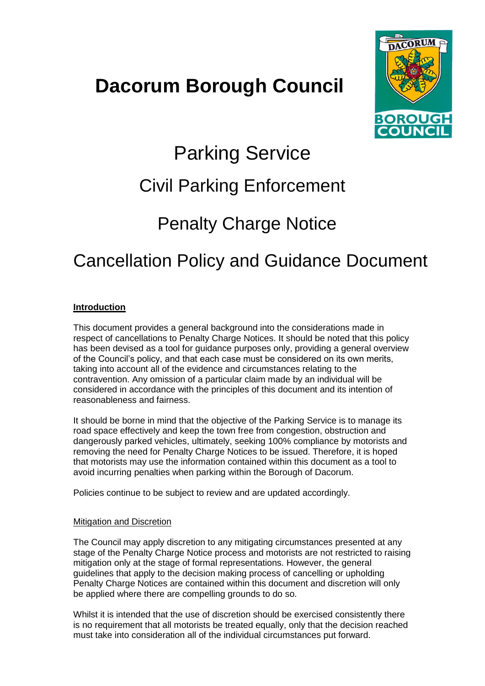## **Dacorum Borough Council**



# Parking Service

## Civil Parking Enforcement

## Penalty Charge Notice

## Cancellation Policy and Guidance Document

## **Introduction**

This document provides a general background into the considerations made in respect of cancellations to Penalty Charge Notices. It should be noted that this policy has been devised as a tool for guidance purposes only, providing a general overview of the Council's policy, and that each case must be considered on its own merits, taking into account all of the evidence and circumstances relating to the contravention. Any omission of a particular claim made by an individual will be considered in accordance with the principles of this document and its intention of reasonableness and fairness.

It should be borne in mind that the objective of the Parking Service is to manage its road space effectively and keep the town free from congestion, obstruction and dangerously parked vehicles, ultimately, seeking 100% compliance by motorists and removing the need for Penalty Charge Notices to be issued. Therefore, it is hoped that motorists may use the information contained within this document as a tool to avoid incurring penalties when parking within the Borough of Dacorum.

Policies continue to be subject to review and are updated accordingly.

#### Mitigation and Discretion

The Council may apply discretion to any mitigating circumstances presented at any stage of the Penalty Charge Notice process and motorists are not restricted to raising mitigation only at the stage of formal representations. However, the general guidelines that apply to the decision making process of cancelling or upholding Penalty Charge Notices are contained within this document and discretion will only be applied where there are compelling grounds to do so.

Whilst it is intended that the use of discretion should be exercised consistently there is no requirement that all motorists be treated equally, only that the decision reached must take into consideration all of the individual circumstances put forward.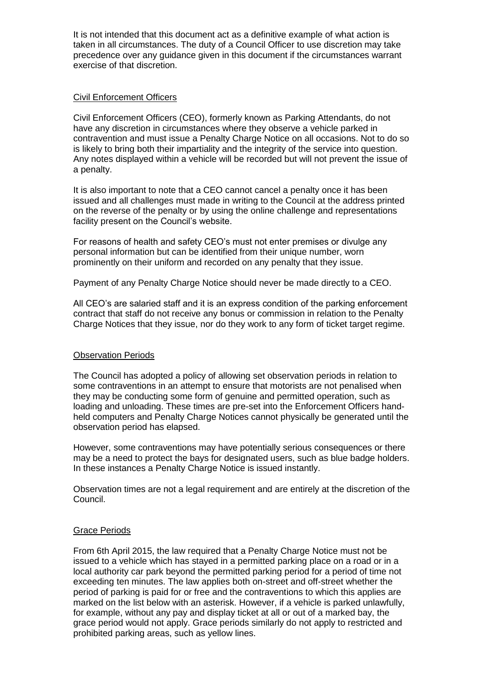It is not intended that this document act as a definitive example of what action is taken in all circumstances. The duty of a Council Officer to use discretion may take precedence over any guidance given in this document if the circumstances warrant exercise of that discretion.

#### Civil Enforcement Officers

Civil Enforcement Officers (CEO), formerly known as Parking Attendants, do not have any discretion in circumstances where they observe a vehicle parked in contravention and must issue a Penalty Charge Notice on all occasions. Not to do so is likely to bring both their impartiality and the integrity of the service into question. Any notes displayed within a vehicle will be recorded but will not prevent the issue of a penalty.

It is also important to note that a CEO cannot cancel a penalty once it has been issued and all challenges must made in writing to the Council at the address printed on the reverse of the penalty or by using the online challenge and representations facility present on the Council's website.

For reasons of health and safety CEO's must not enter premises or divulge any personal information but can be identified from their unique number, worn prominently on their uniform and recorded on any penalty that they issue.

Payment of any Penalty Charge Notice should never be made directly to a CEO.

All CEO's are salaried staff and it is an express condition of the parking enforcement contract that staff do not receive any bonus or commission in relation to the Penalty Charge Notices that they issue, nor do they work to any form of ticket target regime.

#### Observation Periods

The Council has adopted a policy of allowing set observation periods in relation to some contraventions in an attempt to ensure that motorists are not penalised when they may be conducting some form of genuine and permitted operation, such as loading and unloading. These times are pre-set into the Enforcement Officers handheld computers and Penalty Charge Notices cannot physically be generated until the observation period has elapsed.

However, some contraventions may have potentially serious consequences or there may be a need to protect the bays for designated users, such as blue badge holders. In these instances a Penalty Charge Notice is issued instantly.

Observation times are not a legal requirement and are entirely at the discretion of the Council.

#### Grace Periods

From 6th April 2015, the law required that a Penalty Charge Notice must not be issued to a vehicle which has stayed in a permitted parking place on a road or in a local authority car park beyond the permitted parking period for a period of time not exceeding ten minutes. The law applies both on-street and off-street whether the period of parking is paid for or free and the contraventions to which this applies are marked on the list below with an asterisk. However, if a vehicle is parked unlawfully, for example, without any pay and display ticket at all or out of a marked bay, the grace period would not apply. Grace periods similarly do not apply to restricted and prohibited parking areas, such as yellow lines.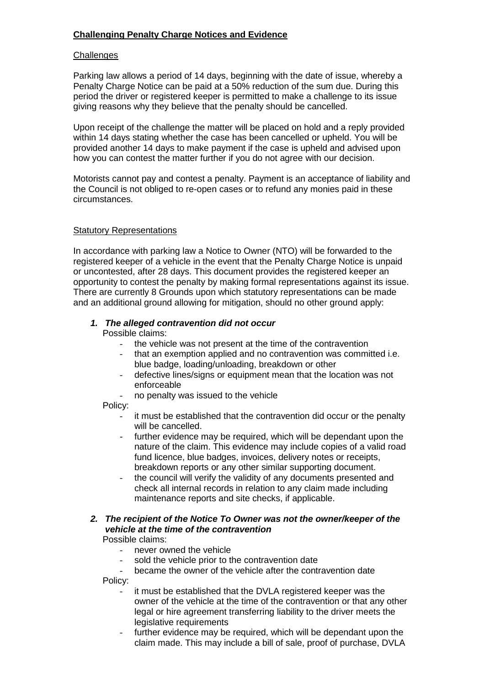### **Challenging Penalty Charge Notices and Evidence**

#### **Challenges**

Parking law allows a period of 14 days, beginning with the date of issue, whereby a Penalty Charge Notice can be paid at a 50% reduction of the sum due. During this period the driver or registered keeper is permitted to make a challenge to its issue giving reasons why they believe that the penalty should be cancelled.

Upon receipt of the challenge the matter will be placed on hold and a reply provided within 14 days stating whether the case has been cancelled or upheld. You will be provided another 14 days to make payment if the case is upheld and advised upon how you can contest the matter further if you do not agree with our decision.

Motorists cannot pay and contest a penalty. Payment is an acceptance of liability and the Council is not obliged to re-open cases or to refund any monies paid in these circumstances.

#### Statutory Representations

In accordance with parking law a Notice to Owner (NTO) will be forwarded to the registered keeper of a vehicle in the event that the Penalty Charge Notice is unpaid or uncontested, after 28 days. This document provides the registered keeper an opportunity to contest the penalty by making formal representations against its issue. There are currently 8 Grounds upon which statutory representations can be made and an additional ground allowing for mitigation, should no other ground apply:

#### *1. The alleged contravention did not occur*

Possible claims:

- the vehicle was not present at the time of the contravention
- that an exemption applied and no contravention was committed *i.e.* blue badge, loading/unloading, breakdown or other
- defective lines/signs or equipment mean that the location was not enforceable
- no penalty was issued to the vehicle

Policy:

- it must be established that the contravention did occur or the penalty will be cancelled.
- further evidence may be required, which will be dependant upon the nature of the claim. This evidence may include copies of a valid road fund licence, blue badges, invoices, delivery notes or receipts, breakdown reports or any other similar supporting document.
- the council will verify the validity of any documents presented and check all internal records in relation to any claim made including maintenance reports and site checks, if applicable.

## *2. The recipient of the Notice To Owner was not the owner/keeper of the vehicle at the time of the contravention*

Possible claims:

- never owned the vehicle
- sold the vehicle prior to the contravention date
- became the owner of the vehicle after the contravention date

Policy:

- it must be established that the DVLA registered keeper was the owner of the vehicle at the time of the contravention or that any other legal or hire agreement transferring liability to the driver meets the legislative requirements
- further evidence may be required, which will be dependant upon the claim made. This may include a bill of sale, proof of purchase, DVLA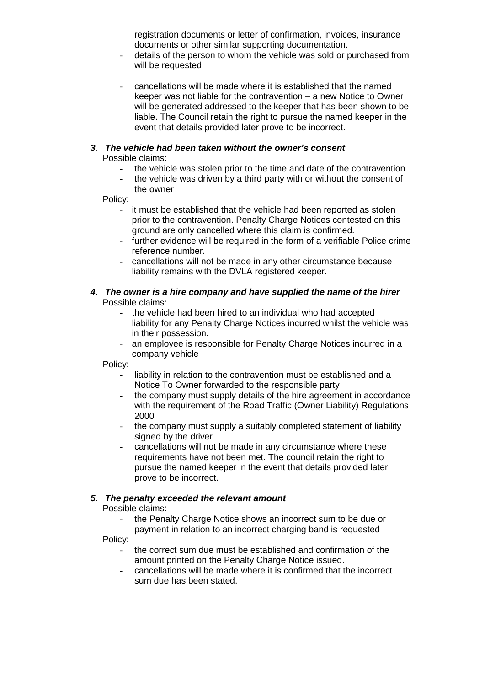registration documents or letter of confirmation, invoices, insurance documents or other similar supporting documentation.

- details of the person to whom the vehicle was sold or purchased from will be requested
- cancellations will be made where it is established that the named keeper was not liable for the contravention – a new Notice to Owner will be generated addressed to the keeper that has been shown to be liable. The Council retain the right to pursue the named keeper in the event that details provided later prove to be incorrect.

#### *3. The vehicle had been taken without the owner's consent* Possible claims:

- the vehicle was stolen prior to the time and date of the contravention
- the vehicle was driven by a third party with or without the consent of the owner

Policy:

- it must be established that the vehicle had been reported as stolen prior to the contravention. Penalty Charge Notices contested on this ground are only cancelled where this claim is confirmed.
- further evidence will be required in the form of a verifiable Police crime reference number.
- cancellations will not be made in any other circumstance because liability remains with the DVLA registered keeper.

#### *4. The owner is a hire company and have supplied the name of the hirer* Possible claims:

- the vehicle had been hired to an individual who had accepted liability for any Penalty Charge Notices incurred whilst the vehicle was in their possession.
- an employee is responsible for Penalty Charge Notices incurred in a company vehicle

Policy:

- liability in relation to the contravention must be established and a Notice To Owner forwarded to the responsible party
- the company must supply details of the hire agreement in accordance with the requirement of the Road Traffic (Owner Liability) Regulations 2000
- the company must supply a suitably completed statement of liability signed by the driver
- cancellations will not be made in any circumstance where these requirements have not been met. The council retain the right to pursue the named keeper in the event that details provided later prove to be incorrect.

## *5. The penalty exceeded the relevant amount*

Possible claims:

the Penalty Charge Notice shows an incorrect sum to be due or

payment in relation to an incorrect charging band is requested Policy:

- the correct sum due must be established and confirmation of the amount printed on the Penalty Charge Notice issued.
- cancellations will be made where it is confirmed that the incorrect sum due has been stated.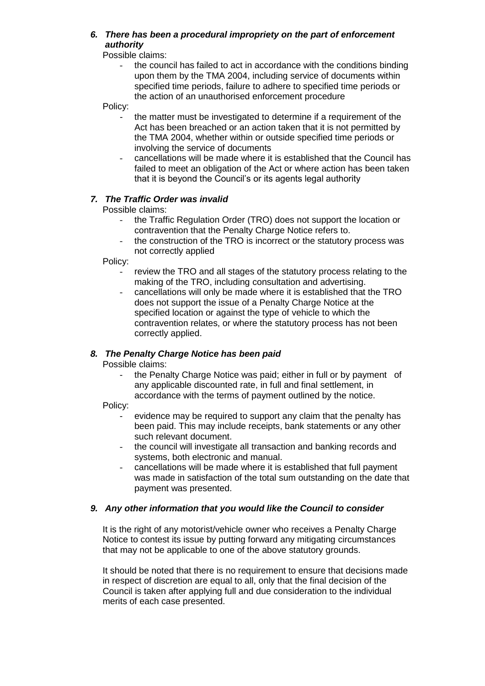## *6. There has been a procedural impropriety on the part of enforcement authority*

Possible claims:

the council has failed to act in accordance with the conditions binding upon them by the TMA 2004, including service of documents within specified time periods, failure to adhere to specified time periods or the action of an unauthorised enforcement procedure

Policy:

- the matter must be investigated to determine if a requirement of the Act has been breached or an action taken that it is not permitted by the TMA 2004, whether within or outside specified time periods or involving the service of documents
- cancellations will be made where it is established that the Council has failed to meet an obligation of the Act or where action has been taken that it is beyond the Council's or its agents legal authority

## *7. The Traffic Order was invalid*

Possible claims:

- the Traffic Regulation Order (TRO) does not support the location or contravention that the Penalty Charge Notice refers to.
- the construction of the TRO is incorrect or the statutory process was not correctly applied

Policy:

- review the TRO and all stages of the statutory process relating to the making of the TRO, including consultation and advertising.
- cancellations will only be made where it is established that the TRO does not support the issue of a Penalty Charge Notice at the specified location or against the type of vehicle to which the contravention relates, or where the statutory process has not been correctly applied.

## *8. The Penalty Charge Notice has been paid*

Possible claims:

the Penalty Charge Notice was paid; either in full or by payment of any applicable discounted rate, in full and final settlement, in accordance with the terms of payment outlined by the notice.

Policy:

- evidence may be required to support any claim that the penalty has been paid. This may include receipts, bank statements or any other such relevant document.
- the council will investigate all transaction and banking records and systems, both electronic and manual.
- cancellations will be made where it is established that full payment was made in satisfaction of the total sum outstanding on the date that payment was presented.

#### *9. Any other information that you would like the Council to consider*

It is the right of any motorist/vehicle owner who receives a Penalty Charge Notice to contest its issue by putting forward any mitigating circumstances that may not be applicable to one of the above statutory grounds.

It should be noted that there is no requirement to ensure that decisions made in respect of discretion are equal to all, only that the final decision of the Council is taken after applying full and due consideration to the individual merits of each case presented.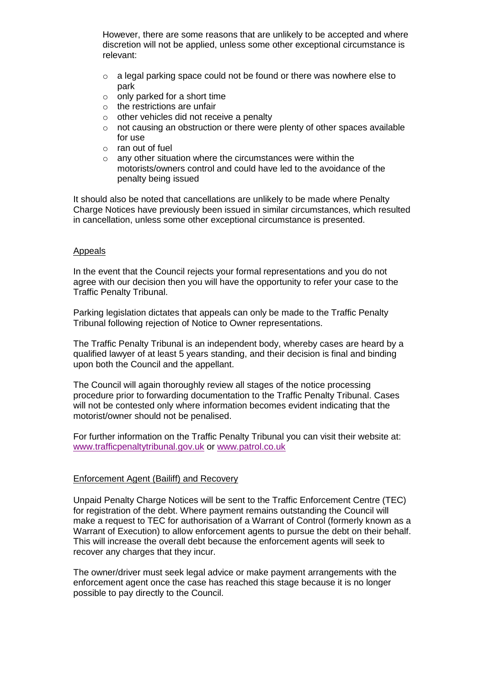However, there are some reasons that are unlikely to be accepted and where discretion will not be applied, unless some other exceptional circumstance is relevant:

- o a legal parking space could not be found or there was nowhere else to park
- $\circ$  only parked for a short time
- $\circ$  the restrictions are unfair
- $\circ$  other vehicles did not receive a penalty
- o not causing an obstruction or there were plenty of other spaces available for use
- o ran out of fuel
- $\circ$  any other situation where the circumstances were within the motorists/owners control and could have led to the avoidance of the penalty being issued

It should also be noted that cancellations are unlikely to be made where Penalty Charge Notices have previously been issued in similar circumstances, which resulted in cancellation, unless some other exceptional circumstance is presented.

#### Appeals

In the event that the Council rejects your formal representations and you do not agree with our decision then you will have the opportunity to refer your case to the Traffic Penalty Tribunal.

Parking legislation dictates that appeals can only be made to the Traffic Penalty Tribunal following rejection of Notice to Owner representations.

The Traffic Penalty Tribunal is an independent body, whereby cases are heard by a qualified lawyer of at least 5 years standing, and their decision is final and binding upon both the Council and the appellant.

The Council will again thoroughly review all stages of the notice processing procedure prior to forwarding documentation to the Traffic Penalty Tribunal. Cases will not be contested only where information becomes evident indicating that the motorist/owner should not be penalised.

For further information on the Traffic Penalty Tribunal you can visit their website at: [www.trafficpenaltytribunal.gov.uk](http://www.trafficpenaltytribunal.gov.uk/) or [www.patrol.co.uk](http://www.parking-appeals.gov.uk/)

#### Enforcement Agent (Bailiff) and Recovery

Unpaid Penalty Charge Notices will be sent to the Traffic Enforcement Centre (TEC) for registration of the debt. Where payment remains outstanding the Council will make a request to TEC for authorisation of a Warrant of Control (formerly known as a Warrant of Execution) to allow enforcement agents to pursue the debt on their behalf. This will increase the overall debt because the enforcement agents will seek to recover any charges that they incur.

The owner/driver must seek legal advice or make payment arrangements with the enforcement agent once the case has reached this stage because it is no longer possible to pay directly to the Council.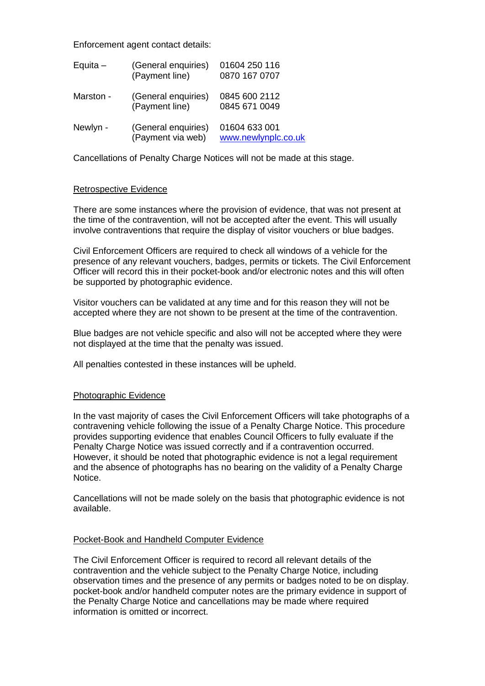Enforcement agent contact details:

| Equita $-$ | (General enquiries)<br>(Payment line)    | 01604 250 116<br>0870 167 0707       |
|------------|------------------------------------------|--------------------------------------|
| Marston -  | (General enquiries)<br>(Payment line)    | 0845 600 2112<br>0845 671 0049       |
| Newlyn -   | (General enquiries)<br>(Payment via web) | 01604 633 001<br>www.newlynplc.co.uk |

Cancellations of Penalty Charge Notices will not be made at this stage.

#### Retrospective Evidence

There are some instances where the provision of evidence, that was not present at the time of the contravention, will not be accepted after the event. This will usually involve contraventions that require the display of visitor vouchers or blue badges.

Civil Enforcement Officers are required to check all windows of a vehicle for the presence of any relevant vouchers, badges, permits or tickets. The Civil Enforcement Officer will record this in their pocket-book and/or electronic notes and this will often be supported by photographic evidence.

Visitor vouchers can be validated at any time and for this reason they will not be accepted where they are not shown to be present at the time of the contravention.

Blue badges are not vehicle specific and also will not be accepted where they were not displayed at the time that the penalty was issued.

All penalties contested in these instances will be upheld.

#### Photographic Evidence

In the vast majority of cases the Civil Enforcement Officers will take photographs of a contravening vehicle following the issue of a Penalty Charge Notice. This procedure provides supporting evidence that enables Council Officers to fully evaluate if the Penalty Charge Notice was issued correctly and if a contravention occurred. However, it should be noted that photographic evidence is not a legal requirement and the absence of photographs has no bearing on the validity of a Penalty Charge Notice.

Cancellations will not be made solely on the basis that photographic evidence is not available.

#### Pocket-Book and Handheld Computer Evidence

The Civil Enforcement Officer is required to record all relevant details of the contravention and the vehicle subject to the Penalty Charge Notice, including observation times and the presence of any permits or badges noted to be on display. pocket-book and/or handheld computer notes are the primary evidence in support of the Penalty Charge Notice and cancellations may be made where required information is omitted or incorrect.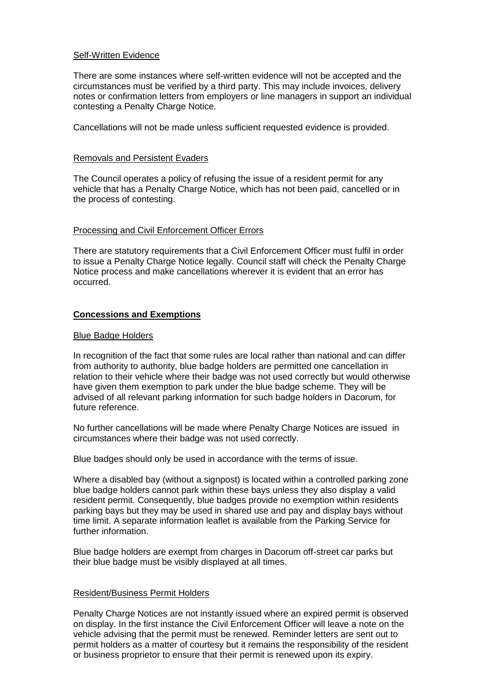#### Self-Written Evidence

There are some instances where self-written evidence will not be accepted and the circumstances must be verified by a third party. This may include invoices, delivery notes or confirmation letters from employers or line managers in support an individual contesting a Penalty Charge Notice.

Cancellations will not be made unless sufficient requested evidence is provided.

#### Removals and Persistent Evaders

The Council operates a policy of refusing the issue of a resident permit for any vehicle that has a Penalty Charge Notice, which has not been paid, cancelled or in the process of contesting.

#### Processing and Civil Enforcement Officer Errors

There are statutory requirements that a Civil Enforcement Officer must fulfil in order to issue a Penalty Charge Notice legally. Council staff will check the Penalty Charge Notice process and make cancellations wherever it is evident that an error has occurred.

#### **Concessions and Exemptions**

#### Blue Badge Holders

In recognition of the fact that some rules are local rather than national and can differ from authority to authority, blue badge holders are permitted one cancellation in relation to their vehicle where their badge was not used correctly but would otherwise have given them exemption to park under the blue badge scheme. They will be advised of all relevant parking information for such badge holders in Dacorum, for future reference.

No further cancellations will be made where Penalty Charge Notices are issued in circumstances where their badge was not used correctly.

Blue badges should only be used in accordance with the terms of issue.

Where a disabled bay (without a signpost) is located within a controlled parking zone blue badge holders cannot park within these bays unless they also display a valid resident permit. Consequently, blue badges provide no exemption within residents parking bays but they may be used in shared use and pay and display bays without time limit. A separate information leaflet is available from the Parking Service for further information.

Blue badge holders are exempt from charges in Dacorum off-street car parks but their blue badge must be visibly displayed at all times.

#### Resident/Business Permit Holders

Penalty Charge Notices are not instantly issued where an expired permit is observed on display. In the first instance the Civil Enforcement Officer will leave a note on the vehicle advising that the permit must be renewed. Reminder letters are sent out to permit holders as a matter of courtesy but it remains the responsibility of the resident or business proprietor to ensure that their permit is renewed upon its expiry.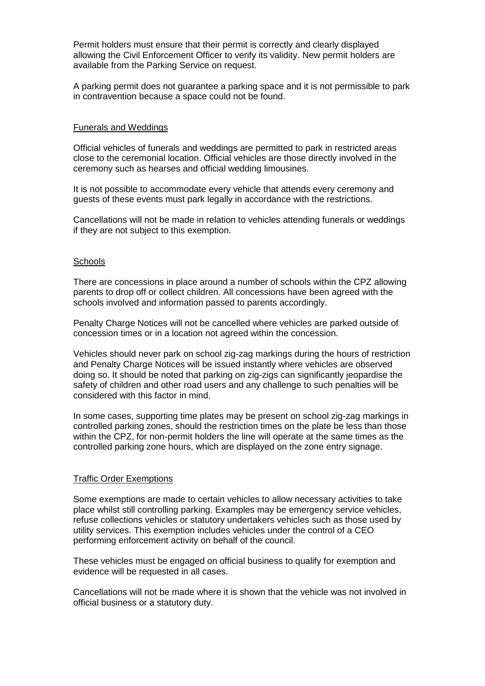Permit holders must ensure that their permit is correctly and clearly displayed allowing the Civil Enforcement Officer to verify its validity. New permit holders are available from the Parking Service on request.

A parking permit does not guarantee a parking space and it is not permissible to park in contravention because a space could not be found.

#### Funerals and Weddings

Official vehicles of funerals and weddings are permitted to park in restricted areas close to the ceremonial location. Official vehicles are those directly involved in the ceremony such as hearses and official wedding limousines.

It is not possible to accommodate every vehicle that attends every ceremony and guests of these events must park legally in accordance with the restrictions.

Cancellations will not be made in relation to vehicles attending funerals or weddings if they are not subject to this exemption.

#### **Schools**

There are concessions in place around a number of schools within the CPZ allowing parents to drop off or collect children. All concessions have been agreed with the schools involved and information passed to parents accordingly.

Penalty Charge Notices will not be cancelled where vehicles are parked outside of concession times or in a location not agreed within the concession.

Vehicles should never park on school zig-zag markings during the hours of restriction and Penalty Charge Notices will be issued instantly where vehicles are observed doing so. It should be noted that parking on zig-zigs can significantly jeopardise the safety of children and other road users and any challenge to such penalties will be considered with this factor in mind.

In some cases, supporting time plates may be present on school zig-zag markings in controlled parking zones, should the restriction times on the plate be less than those within the CPZ, for non-permit holders the line will operate at the same times as the controlled parking zone hours, which are displayed on the zone entry signage.

#### Traffic Order Exemptions

Some exemptions are made to certain vehicles to allow necessary activities to take place whilst still controlling parking. Examples may be emergency service vehicles, refuse collections vehicles or statutory undertakers vehicles such as those used by utility services. This exemption includes vehicles under the control of a CEO performing enforcement activity on behalf of the council.

These vehicles must be engaged on official business to qualify for exemption and evidence will be requested in all cases.

Cancellations will not be made where it is shown that the vehicle was not involved in official business or a statutory duty.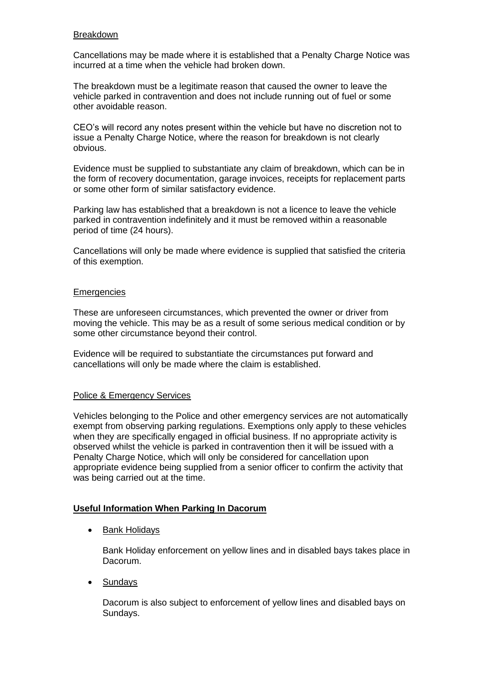#### Breakdown

Cancellations may be made where it is established that a Penalty Charge Notice was incurred at a time when the vehicle had broken down.

The breakdown must be a legitimate reason that caused the owner to leave the vehicle parked in contravention and does not include running out of fuel or some other avoidable reason.

CEO's will record any notes present within the vehicle but have no discretion not to issue a Penalty Charge Notice, where the reason for breakdown is not clearly obvious.

Evidence must be supplied to substantiate any claim of breakdown, which can be in the form of recovery documentation, garage invoices, receipts for replacement parts or some other form of similar satisfactory evidence.

Parking law has established that a breakdown is not a licence to leave the vehicle parked in contravention indefinitely and it must be removed within a reasonable period of time (24 hours).

Cancellations will only be made where evidence is supplied that satisfied the criteria of this exemption.

#### **Emergencies**

These are unforeseen circumstances, which prevented the owner or driver from moving the vehicle. This may be as a result of some serious medical condition or by some other circumstance beyond their control.

Evidence will be required to substantiate the circumstances put forward and cancellations will only be made where the claim is established.

#### Police & Emergency Services

Vehicles belonging to the Police and other emergency services are not automatically exempt from observing parking regulations. Exemptions only apply to these vehicles when they are specifically engaged in official business. If no appropriate activity is observed whilst the vehicle is parked in contravention then it will be issued with a Penalty Charge Notice, which will only be considered for cancellation upon appropriate evidence being supplied from a senior officer to confirm the activity that was being carried out at the time.

#### **Useful Information When Parking In Dacorum**

• Bank Holidays

Bank Holiday enforcement on yellow lines and in disabled bays takes place in Dacorum.

**Sundays** 

Dacorum is also subject to enforcement of yellow lines and disabled bays on Sundays.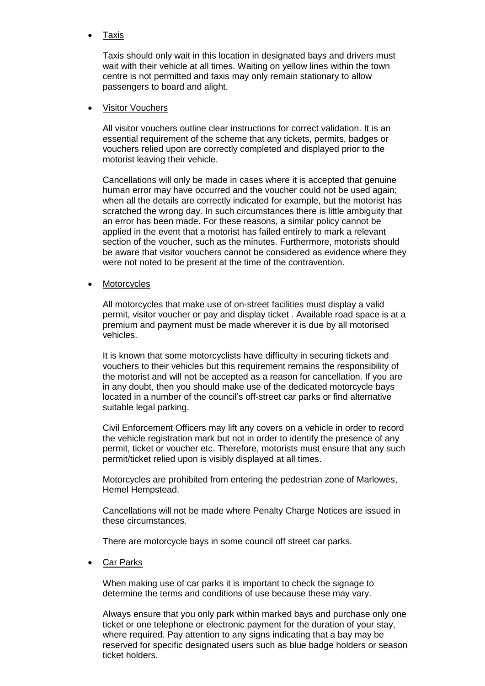Taxis

Taxis should only wait in this location in designated bays and drivers must wait with their vehicle at all times. Waiting on yellow lines within the town centre is not permitted and taxis may only remain stationary to allow passengers to board and alight.

#### Visitor Vouchers

All visitor vouchers outline clear instructions for correct validation. It is an essential requirement of the scheme that any tickets, permits, badges or vouchers relied upon are correctly completed and displayed prior to the motorist leaving their vehicle.

Cancellations will only be made in cases where it is accepted that genuine human error may have occurred and the voucher could not be used again; when all the details are correctly indicated for example, but the motorist has scratched the wrong day. In such circumstances there is little ambiguity that an error has been made. For these reasons, a similar policy cannot be applied in the event that a motorist has failed entirely to mark a relevant section of the voucher, such as the minutes. Furthermore, motorists should be aware that visitor vouchers cannot be considered as evidence where they were not noted to be present at the time of the contravention.

**Motorcycles** 

All motorcycles that make use of on-street facilities must display a valid permit, visitor voucher or pay and display ticket . Available road space is at a premium and payment must be made wherever it is due by all motorised vehicles.

It is known that some motorcyclists have difficulty in securing tickets and vouchers to their vehicles but this requirement remains the responsibility of the motorist and will not be accepted as a reason for cancellation. If you are in any doubt, then you should make use of the dedicated motorcycle bays located in a number of the council's off-street car parks or find alternative suitable legal parking.

Civil Enforcement Officers may lift any covers on a vehicle in order to record the vehicle registration mark but not in order to identify the presence of any permit, ticket or voucher etc. Therefore, motorists must ensure that any such permit/ticket relied upon is visibly displayed at all times.

Motorcycles are prohibited from entering the pedestrian zone of Marlowes, Hemel Hempstead.

Cancellations will not be made where Penalty Charge Notices are issued in these circumstances.

There are motorcycle bays in some council off street car parks.

Car Parks

When making use of car parks it is important to check the signage to determine the terms and conditions of use because these may vary.

Always ensure that you only park within marked bays and purchase only one ticket or one telephone or electronic payment for the duration of your stay, where required. Pay attention to any signs indicating that a bay may be reserved for specific designated users such as blue badge holders or season ticket holders.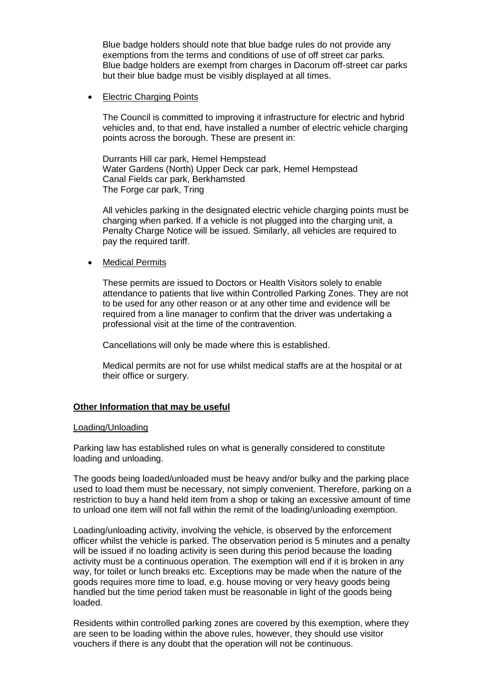Blue badge holders should note that blue badge rules do not provide any exemptions from the terms and conditions of use of off street car parks. Blue badge holders are exempt from charges in Dacorum off-street car parks but their blue badge must be visibly displayed at all times.

#### Electric Charging Points

The Council is committed to improving it infrastructure for electric and hybrid vehicles and, to that end, have installed a number of electric vehicle charging points across the borough. These are present in:

Durrants Hill car park, Hemel Hempstead Water Gardens (North) Upper Deck car park, Hemel Hempstead Canal Fields car park, Berkhamsted The Forge car park, Tring

All vehicles parking in the designated electric vehicle charging points must be charging when parked. If a vehicle is not plugged into the charging unit, a Penalty Charge Notice will be issued. Similarly, all vehicles are required to pay the required tariff.

#### Medical Permits

These permits are issued to Doctors or Health Visitors solely to enable attendance to patients that live within Controlled Parking Zones. They are not to be used for any other reason or at any other time and evidence will be required from a line manager to confirm that the driver was undertaking a professional visit at the time of the contravention.

Cancellations will only be made where this is established.

Medical permits are not for use whilst medical staffs are at the hospital or at their office or surgery.

#### **Other Information that may be useful**

#### Loading/Unloading

Parking law has established rules on what is generally considered to constitute loading and unloading.

The goods being loaded/unloaded must be heavy and/or bulky and the parking place used to load them must be necessary, not simply convenient. Therefore, parking on a restriction to buy a hand held item from a shop or taking an excessive amount of time to unload one item will not fall within the remit of the loading/unloading exemption.

Loading/unloading activity, involving the vehicle, is observed by the enforcement officer whilst the vehicle is parked. The observation period is 5 minutes and a penalty will be issued if no loading activity is seen during this period because the loading activity must be a continuous operation. The exemption will end if it is broken in any way, for toilet or lunch breaks etc. Exceptions may be made when the nature of the goods requires more time to load, e.g. house moving or very heavy goods being handled but the time period taken must be reasonable in light of the goods being loaded.

Residents within controlled parking zones are covered by this exemption, where they are seen to be loading within the above rules, however, they should use visitor vouchers if there is any doubt that the operation will not be continuous.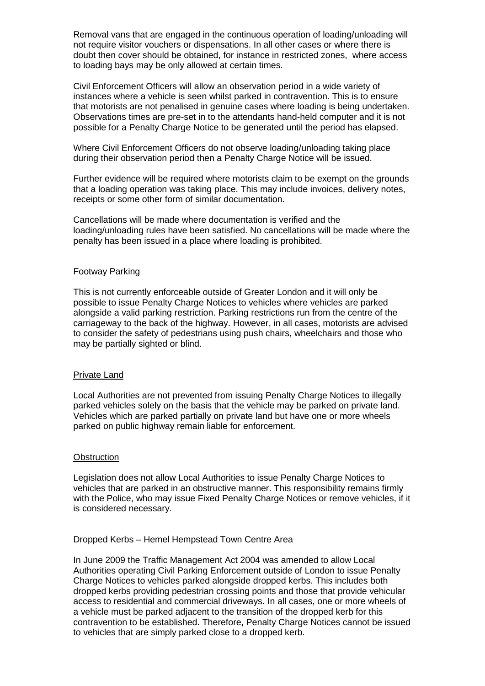Removal vans that are engaged in the continuous operation of loading/unloading will not require visitor vouchers or dispensations. In all other cases or where there is doubt then cover should be obtained, for instance in restricted zones, where access to loading bays may be only allowed at certain times.

Civil Enforcement Officers will allow an observation period in a wide variety of instances where a vehicle is seen whilst parked in contravention. This is to ensure that motorists are not penalised in genuine cases where loading is being undertaken. Observations times are pre-set in to the attendants hand-held computer and it is not possible for a Penalty Charge Notice to be generated until the period has elapsed.

Where Civil Enforcement Officers do not observe loading/unloading taking place during their observation period then a Penalty Charge Notice will be issued.

Further evidence will be required where motorists claim to be exempt on the grounds that a loading operation was taking place. This may include invoices, delivery notes, receipts or some other form of similar documentation.

Cancellations will be made where documentation is verified and the loading/unloading rules have been satisfied. No cancellations will be made where the penalty has been issued in a place where loading is prohibited.

#### Footway Parking

This is not currently enforceable outside of Greater London and it will only be possible to issue Penalty Charge Notices to vehicles where vehicles are parked alongside a valid parking restriction. Parking restrictions run from the centre of the carriageway to the back of the highway. However, in all cases, motorists are advised to consider the safety of pedestrians using push chairs, wheelchairs and those who may be partially sighted or blind.

#### Private Land

Local Authorities are not prevented from issuing Penalty Charge Notices to illegally parked vehicles solely on the basis that the vehicle may be parked on private land. Vehicles which are parked partially on private land but have one or more wheels parked on public highway remain liable for enforcement.

#### **Obstruction**

Legislation does not allow Local Authorities to issue Penalty Charge Notices to vehicles that are parked in an obstructive manner. This responsibility remains firmly with the Police, who may issue Fixed Penalty Charge Notices or remove vehicles, if it is considered necessary.

#### Dropped Kerbs – Hemel Hempstead Town Centre Area

In June 2009 the Traffic Management Act 2004 was amended to allow Local Authorities operating Civil Parking Enforcement outside of London to issue Penalty Charge Notices to vehicles parked alongside dropped kerbs. This includes both dropped kerbs providing pedestrian crossing points and those that provide vehicular access to residential and commercial driveways. In all cases, one or more wheels of a vehicle must be parked adjacent to the transition of the dropped kerb for this contravention to be established. Therefore, Penalty Charge Notices cannot be issued to vehicles that are simply parked close to a dropped kerb.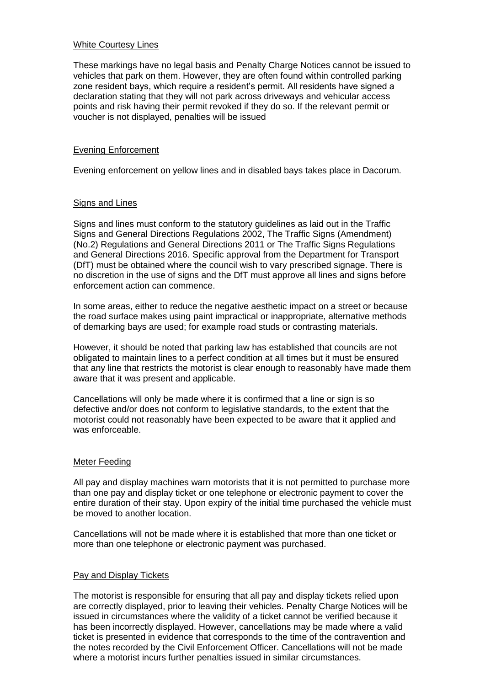#### White Courtesy Lines

These markings have no legal basis and Penalty Charge Notices cannot be issued to vehicles that park on them. However, they are often found within controlled parking zone resident bays, which require a resident's permit. All residents have signed a declaration stating that they will not park across driveways and vehicular access points and risk having their permit revoked if they do so. If the relevant permit or voucher is not displayed, penalties will be issued

#### Evening Enforcement

Evening enforcement on yellow lines and in disabled bays takes place in Dacorum.

#### Signs and Lines

Signs and lines must conform to the statutory guidelines as laid out in the Traffic Signs and General Directions Regulations 2002, The Traffic Signs (Amendment) (No.2) Regulations and General Directions 2011 or The Traffic Signs Regulations and General Directions 2016. Specific approval from the Department for Transport (DfT) must be obtained where the council wish to vary prescribed signage. There is no discretion in the use of signs and the DfT must approve all lines and signs before enforcement action can commence.

In some areas, either to reduce the negative aesthetic impact on a street or because the road surface makes using paint impractical or inappropriate, alternative methods of demarking bays are used; for example road studs or contrasting materials.

However, it should be noted that parking law has established that councils are not obligated to maintain lines to a perfect condition at all times but it must be ensured that any line that restricts the motorist is clear enough to reasonably have made them aware that it was present and applicable.

Cancellations will only be made where it is confirmed that a line or sign is so defective and/or does not conform to legislative standards, to the extent that the motorist could not reasonably have been expected to be aware that it applied and was enforceable.

#### Meter Feeding

All pay and display machines warn motorists that it is not permitted to purchase more than one pay and display ticket or one telephone or electronic payment to cover the entire duration of their stay. Upon expiry of the initial time purchased the vehicle must be moved to another location.

Cancellations will not be made where it is established that more than one ticket or more than one telephone or electronic payment was purchased.

#### Pay and Display Tickets

The motorist is responsible for ensuring that all pay and display tickets relied upon are correctly displayed, prior to leaving their vehicles. Penalty Charge Notices will be issued in circumstances where the validity of a ticket cannot be verified because it has been incorrectly displayed. However, cancellations may be made where a valid ticket is presented in evidence that corresponds to the time of the contravention and the notes recorded by the Civil Enforcement Officer. Cancellations will not be made where a motorist incurs further penalties issued in similar circumstances.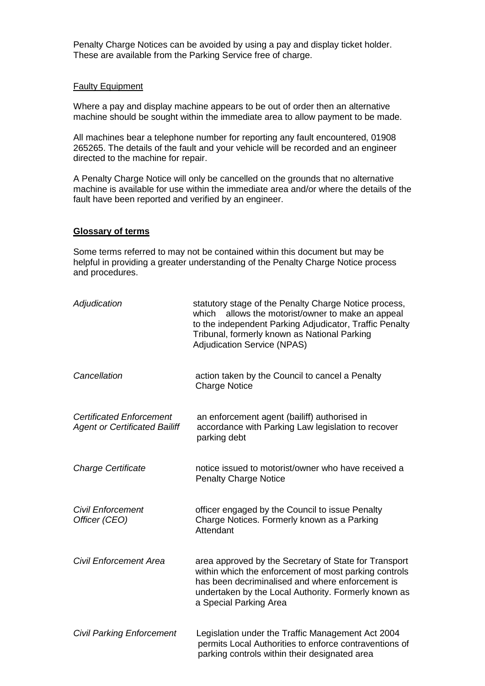Penalty Charge Notices can be avoided by using a pay and display ticket holder. These are available from the Parking Service free of charge.

#### Faulty Equipment

Where a pay and display machine appears to be out of order then an alternative machine should be sought within the immediate area to allow payment to be made.

All machines bear a telephone number for reporting any fault encountered, 01908 265265. The details of the fault and your vehicle will be recorded and an engineer directed to the machine for repair.

A Penalty Charge Notice will only be cancelled on the grounds that no alternative machine is available for use within the immediate area and/or where the details of the fault have been reported and verified by an engineer.

#### **Glossary of terms**

Some terms referred to may not be contained within this document but may be helpful in providing a greater understanding of the Penalty Charge Notice process and procedures.

| Adjudication                                                            | statutory stage of the Penalty Charge Notice process,<br>which<br>allows the motorist/owner to make an appeal<br>to the independent Parking Adjudicator, Traffic Penalty<br>Tribunal, formerly known as National Parking<br><b>Adjudication Service (NPAS)</b> |
|-------------------------------------------------------------------------|----------------------------------------------------------------------------------------------------------------------------------------------------------------------------------------------------------------------------------------------------------------|
| Cancellation                                                            | action taken by the Council to cancel a Penalty<br><b>Charge Notice</b>                                                                                                                                                                                        |
| <b>Certificated Enforcement</b><br><b>Agent or Certificated Bailiff</b> | an enforcement agent (bailiff) authorised in<br>accordance with Parking Law legislation to recover<br>parking debt                                                                                                                                             |
| <b>Charge Certificate</b>                                               | notice issued to motorist/owner who have received a<br><b>Penalty Charge Notice</b>                                                                                                                                                                            |
| <b>Civil Enforcement</b><br>Officer (CEO)                               | officer engaged by the Council to issue Penalty<br>Charge Notices. Formerly known as a Parking<br>Attendant                                                                                                                                                    |
| <b>Civil Enforcement Area</b>                                           | area approved by the Secretary of State for Transport<br>within which the enforcement of most parking controls<br>has been decriminalised and where enforcement is<br>undertaken by the Local Authority. Formerly known as<br>a Special Parking Area           |
| <b>Civil Parking Enforcement</b>                                        | Legislation under the Traffic Management Act 2004<br>permits Local Authorities to enforce contraventions of<br>parking controls within their designated area                                                                                                   |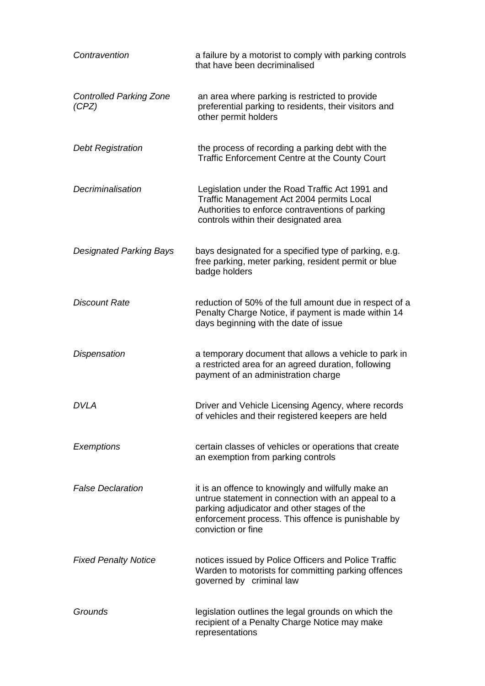| Contravention                           | a failure by a motorist to comply with parking controls<br>that have been decriminalised                                                                                                                                            |
|-----------------------------------------|-------------------------------------------------------------------------------------------------------------------------------------------------------------------------------------------------------------------------------------|
| <b>Controlled Parking Zone</b><br>(CPZ) | an area where parking is restricted to provide<br>preferential parking to residents, their visitors and<br>other permit holders                                                                                                     |
| <b>Debt Registration</b>                | the process of recording a parking debt with the<br>Traffic Enforcement Centre at the County Court                                                                                                                                  |
| Decriminalisation                       | Legislation under the Road Traffic Act 1991 and<br>Traffic Management Act 2004 permits Local<br>Authorities to enforce contraventions of parking<br>controls within their designated area                                           |
| <b>Designated Parking Bays</b>          | bays designated for a specified type of parking, e.g.<br>free parking, meter parking, resident permit or blue<br>badge holders                                                                                                      |
| <b>Discount Rate</b>                    | reduction of 50% of the full amount due in respect of a<br>Penalty Charge Notice, if payment is made within 14<br>days beginning with the date of issue                                                                             |
| <b>Dispensation</b>                     | a temporary document that allows a vehicle to park in<br>a restricted area for an agreed duration, following<br>payment of an administration charge                                                                                 |
| DVLA                                    | Driver and Vehicle Licensing Agency, where records<br>of vehicles and their registered keepers are held                                                                                                                             |
| Exemptions                              | certain classes of vehicles or operations that create<br>an exemption from parking controls                                                                                                                                         |
| <b>False Declaration</b>                | it is an offence to knowingly and wilfully make an<br>untrue statement in connection with an appeal to a<br>parking adjudicator and other stages of the<br>enforcement process. This offence is punishable by<br>conviction or fine |
| <b>Fixed Penalty Notice</b>             | notices issued by Police Officers and Police Traffic<br>Warden to motorists for committing parking offences<br>governed by criminal law                                                                                             |
| Grounds                                 | legislation outlines the legal grounds on which the<br>recipient of a Penalty Charge Notice may make<br>representations                                                                                                             |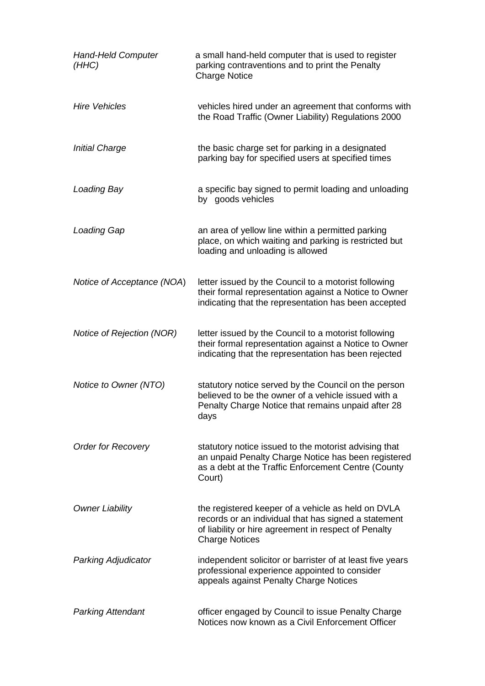| <b>Hand-Held Computer</b><br>(HHC) | a small hand-held computer that is used to register<br>parking contraventions and to print the Penalty<br><b>Charge Notice</b>                                                              |
|------------------------------------|---------------------------------------------------------------------------------------------------------------------------------------------------------------------------------------------|
| <b>Hire Vehicles</b>               | vehicles hired under an agreement that conforms with<br>the Road Traffic (Owner Liability) Regulations 2000                                                                                 |
| <b>Initial Charge</b>              | the basic charge set for parking in a designated<br>parking bay for specified users at specified times                                                                                      |
| Loading Bay                        | a specific bay signed to permit loading and unloading<br>by goods vehicles                                                                                                                  |
| <b>Loading Gap</b>                 | an area of yellow line within a permitted parking<br>place, on which waiting and parking is restricted but<br>loading and unloading is allowed                                              |
| Notice of Acceptance (NOA)         | letter issued by the Council to a motorist following<br>their formal representation against a Notice to Owner<br>indicating that the representation has been accepted                       |
| Notice of Rejection (NOR)          | letter issued by the Council to a motorist following<br>their formal representation against a Notice to Owner<br>indicating that the representation has been rejected                       |
| Notice to Owner (NTO)              | statutory notice served by the Council on the person<br>believed to be the owner of a vehicle issued with a<br>Penalty Charge Notice that remains unpaid after 28<br>days                   |
| <b>Order for Recovery</b>          | statutory notice issued to the motorist advising that<br>an unpaid Penalty Charge Notice has been registered<br>as a debt at the Traffic Enforcement Centre (County<br>Court)               |
| <b>Owner Liability</b>             | the registered keeper of a vehicle as held on DVLA<br>records or an individual that has signed a statement<br>of liability or hire agreement in respect of Penalty<br><b>Charge Notices</b> |
| Parking Adjudicator                | independent solicitor or barrister of at least five years<br>professional experience appointed to consider<br>appeals against Penalty Charge Notices                                        |
| <b>Parking Attendant</b>           | officer engaged by Council to issue Penalty Charge<br>Notices now known as a Civil Enforcement Officer                                                                                      |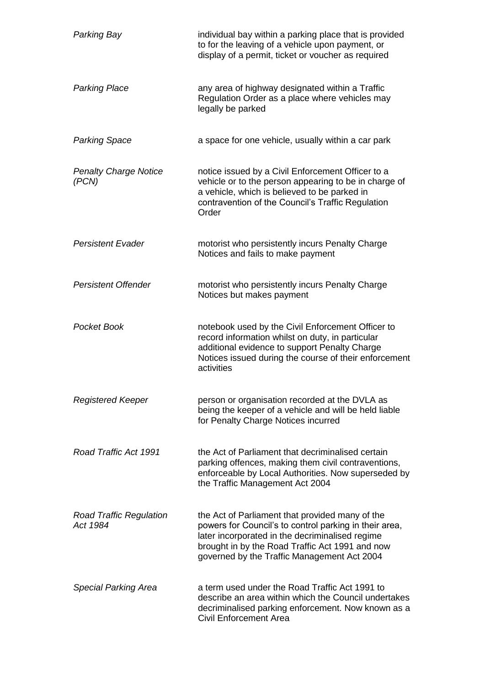| Parking Bay                                | individual bay within a parking place that is provided<br>to for the leaving of a vehicle upon payment, or<br>display of a permit, ticket or voucher as required                                                                                               |
|--------------------------------------------|----------------------------------------------------------------------------------------------------------------------------------------------------------------------------------------------------------------------------------------------------------------|
| <b>Parking Place</b>                       | any area of highway designated within a Traffic<br>Regulation Order as a place where vehicles may<br>legally be parked                                                                                                                                         |
| <b>Parking Space</b>                       | a space for one vehicle, usually within a car park                                                                                                                                                                                                             |
| <b>Penalty Charge Notice</b><br>(PCN)      | notice issued by a Civil Enforcement Officer to a<br>vehicle or to the person appearing to be in charge of<br>a vehicle, which is believed to be parked in<br>contravention of the Council's Traffic Regulation<br>Order                                       |
| <b>Persistent Evader</b>                   | motorist who persistently incurs Penalty Charge<br>Notices and fails to make payment                                                                                                                                                                           |
| <b>Persistent Offender</b>                 | motorist who persistently incurs Penalty Charge<br>Notices but makes payment                                                                                                                                                                                   |
| Pocket Book                                | notebook used by the Civil Enforcement Officer to<br>record information whilst on duty, in particular<br>additional evidence to support Penalty Charge<br>Notices issued during the course of their enforcement<br>activities                                  |
| <b>Registered Keeper</b>                   | person or organisation recorded at the DVLA as<br>being the keeper of a vehicle and will be held liable<br>for Penalty Charge Notices incurred                                                                                                                 |
| Road Traffic Act 1991                      | the Act of Parliament that decriminalised certain<br>parking offences, making them civil contraventions,<br>enforceable by Local Authorities. Now superseded by<br>the Traffic Management Act 2004                                                             |
| <b>Road Traffic Regulation</b><br>Act 1984 | the Act of Parliament that provided many of the<br>powers for Council's to control parking in their area,<br>later incorporated in the decriminalised regime<br>brought in by the Road Traffic Act 1991 and now<br>governed by the Traffic Management Act 2004 |
| <b>Special Parking Area</b>                | a term used under the Road Traffic Act 1991 to<br>describe an area within which the Council undertakes<br>decriminalised parking enforcement. Now known as a<br><b>Civil Enforcement Area</b>                                                                  |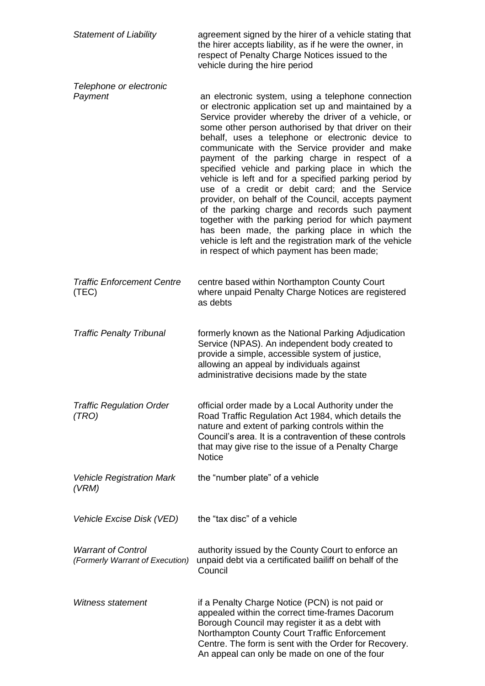| <b>Statement of Liability</b>                                | agreement signed by the hirer of a vehicle stating that<br>the hirer accepts liability, as if he were the owner, in<br>respect of Penalty Charge Notices issued to the<br>vehicle during the hire period                                                                                                                                                                                                                                                                                                                                                                                                                                                                                                                                                                                                                                                                   |
|--------------------------------------------------------------|----------------------------------------------------------------------------------------------------------------------------------------------------------------------------------------------------------------------------------------------------------------------------------------------------------------------------------------------------------------------------------------------------------------------------------------------------------------------------------------------------------------------------------------------------------------------------------------------------------------------------------------------------------------------------------------------------------------------------------------------------------------------------------------------------------------------------------------------------------------------------|
| Telephone or electronic<br>Payment                           | an electronic system, using a telephone connection<br>or electronic application set up and maintained by a<br>Service provider whereby the driver of a vehicle, or<br>some other person authorised by that driver on their<br>behalf, uses a telephone or electronic device to<br>communicate with the Service provider and make<br>payment of the parking charge in respect of a<br>specified vehicle and parking place in which the<br>vehicle is left and for a specified parking period by<br>use of a credit or debit card; and the Service<br>provider, on behalf of the Council, accepts payment<br>of the parking charge and records such payment<br>together with the parking period for which payment<br>has been made, the parking place in which the<br>vehicle is left and the registration mark of the vehicle<br>in respect of which payment has been made; |
| <b>Traffic Enforcement Centre</b><br>(TEC)                   | centre based within Northampton County Court<br>where unpaid Penalty Charge Notices are registered<br>as debts                                                                                                                                                                                                                                                                                                                                                                                                                                                                                                                                                                                                                                                                                                                                                             |
| <b>Traffic Penalty Tribunal</b>                              | formerly known as the National Parking Adjudication<br>Service (NPAS). An independent body created to<br>provide a simple, accessible system of justice,<br>allowing an appeal by individuals against<br>administrative decisions made by the state                                                                                                                                                                                                                                                                                                                                                                                                                                                                                                                                                                                                                        |
| <b>Traffic Regulation Order</b><br>(TRO)                     | official order made by a Local Authority under the<br>Road Traffic Regulation Act 1984, which details the<br>nature and extent of parking controls within the<br>Council's area. It is a contravention of these controls<br>that may give rise to the issue of a Penalty Charge<br><b>Notice</b>                                                                                                                                                                                                                                                                                                                                                                                                                                                                                                                                                                           |
| <b>Vehicle Registration Mark</b><br>(VRM)                    | the "number plate" of a vehicle                                                                                                                                                                                                                                                                                                                                                                                                                                                                                                                                                                                                                                                                                                                                                                                                                                            |
| Vehicle Excise Disk (VED)                                    | the "tax disc" of a vehicle                                                                                                                                                                                                                                                                                                                                                                                                                                                                                                                                                                                                                                                                                                                                                                                                                                                |
| <b>Warrant of Control</b><br>(Formerly Warrant of Execution) | authority issued by the County Court to enforce an<br>unpaid debt via a certificated bailiff on behalf of the<br>Council                                                                                                                                                                                                                                                                                                                                                                                                                                                                                                                                                                                                                                                                                                                                                   |
| Witness statement                                            | if a Penalty Charge Notice (PCN) is not paid or<br>appealed within the correct time-frames Dacorum<br>Borough Council may register it as a debt with<br>Northampton County Court Traffic Enforcement<br>Centre. The form is sent with the Order for Recovery.<br>An appeal can only be made on one of the four                                                                                                                                                                                                                                                                                                                                                                                                                                                                                                                                                             |